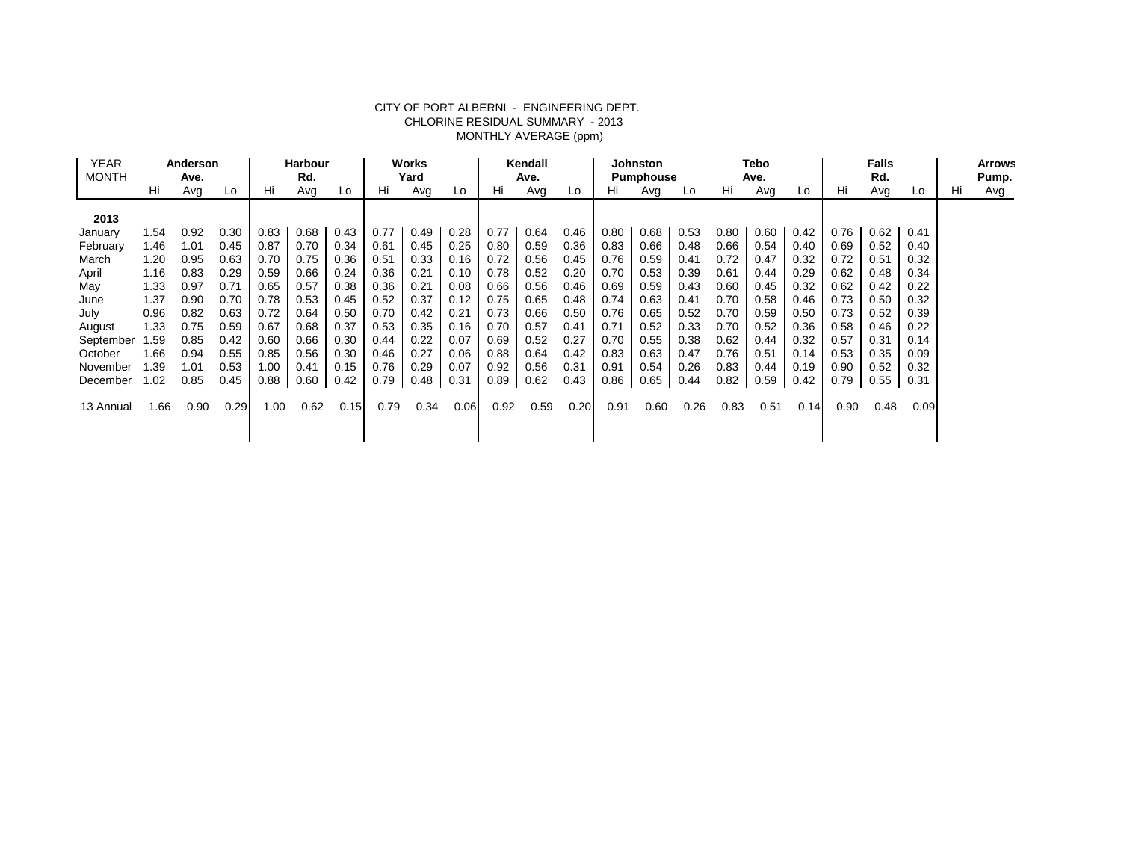## CITY OF PORT ALBERNI - ENGINEERING DEPT. CHLORINE RESIDUAL SUMMARY - 2013 MONTHLY AVERAGE (ppm)

| <b>YEAR</b>  | Anderson |      |      | <b>Harbour</b> |      |      | Works |      |      | Kendall |      |      | Johnston         |      |      | Tebo |      |      | <b>Falls</b> |      |      | <b>Arrows</b> |       |
|--------------|----------|------|------|----------------|------|------|-------|------|------|---------|------|------|------------------|------|------|------|------|------|--------------|------|------|---------------|-------|
| <b>MONTH</b> | Ave.     |      |      | Rd.            |      |      | Yard  |      |      | Ave.    |      |      | <b>Pumphouse</b> |      |      | Ave. |      |      | Rd.          |      |      |               | Pump. |
|              | Hi       | Avg  | Lo   | Hi             | Avg  | Lo   | Hi    | Avg  | Lo   | Hi      | Avg  | Lo   | Hi.              | Avg  | Lo   | Hi   | Avg  | Lo   | Hi           | Avg  | Lo   | Hi            | Avg   |
|              |          |      |      |                |      |      |       |      |      |         |      |      |                  |      |      |      |      |      |              |      |      |               |       |
| 2013         |          |      |      |                |      |      |       |      |      |         |      |      |                  |      |      |      |      |      |              |      |      |               |       |
| January      | 1.54     | 0.92 | 0.30 | 0.83           | 0.68 | 0.43 | 0.77  | 0.49 | 0.28 | 0.77    | 0.64 | 0.46 | 0.80             | 0.68 | 0.53 | 0.80 | 0.60 | 0.42 | 0.76         | 0.62 | 0.41 |               |       |
| February     | 1.46     | 1.01 | 0.45 | 0.87           | 0.70 | 0.34 | 0.61  | 0.45 | 0.25 | 0.80    | 0.59 | 0.36 | 0.83             | 0.66 | 0.48 | 0.66 | 0.54 | 0.40 | 0.69         | 0.52 | 0.40 |               |       |
| March        | 1.20     | 0.95 | 0.63 | 0.70           | 0.75 | 0.36 | 0.51  | 0.33 | 0.16 | 0.72    | 0.56 | 0.45 | 0.76             | 0.59 | 0.41 | 0.72 | 0.47 | 0.32 | 0.72         | 0.51 | 0.32 |               |       |
| April        | 1.16     | 0.83 | 0.29 | 0.59           | 0.66 | 0.24 | 0.36  | 0.21 | 0.10 | 0.78    | 0.52 | 0.20 | 0.70             | 0.53 | 0.39 | 0.61 | 0.44 | 0.29 | 0.62         | 0.48 | 0.34 |               |       |
| May          | 1.33     | 0.97 | 0.71 | 0.65           | 0.57 | 0.38 | 0.36  | 0.21 | 0.08 | 0.66    | 0.56 | 0.46 | 0.69             | 0.59 | 0.43 | 0.60 | 0.45 | 0.32 | 0.62         | 0.42 | 0.22 |               |       |
| June         | 1.37     | 0.90 | 0.70 | 0.78           | 0.53 | 0.45 | 0.52  | 0.37 | 0.12 | 0.75    | 0.65 | 0.48 | 0.74             | 0.63 | 0.41 | 0.70 | 0.58 | 0.46 | 0.73         | 0.50 | 0.32 |               |       |
| July         | 0.96     | 0.82 | 0.63 | 0.72           | 0.64 | 0.50 | 0.70  | 0.42 | 0.21 | 0.73    | 0.66 | 0.50 | 0.76             | 0.65 | 0.52 | 0.70 | 0.59 | 0.50 | 0.73         | 0.52 | 0.39 |               |       |
| August       | 1.33     | 0.75 | 0.59 | 0.67           | 0.68 | 0.37 | 0.53  | 0.35 | 0.16 | 0.70    | 0.57 | 0.41 | 0.71             | 0.52 | 0.33 | 0.70 | 0.52 | 0.36 | 0.58         | 0.46 | 0.22 |               |       |
| September    | 1.59     | 0.85 | 0.42 | 0.60           | 0.66 | 0.30 | 0.44  | 0.22 | 0.07 | 0.69    | 0.52 | 0.27 | 0.70             | 0.55 | 0.38 | 0.62 | 0.44 | 0.32 | 0.57         | 0.31 | 0.14 |               |       |
| October      | 1.66     | 0.94 | 0.55 | 0.85           | 0.56 | 0.30 | 0.46  | 0.27 | 0.06 | 0.88    | 0.64 | 0.42 | 0.83             | 0.63 | 0.47 | 0.76 | 0.51 | 0.14 | 0.53         | 0.35 | 0.09 |               |       |
| November     | 1.39     | 1.01 | 0.53 | 1.00           | 0.41 | 0.15 | 0.76  | 0.29 | 0.07 | 0.92    | 0.56 | 0.31 | 0.91             | 0.54 | 0.26 | 0.83 | 0.44 | 0.19 | 0.90         | 0.52 | 0.32 |               |       |
| December     | 1.02     | 0.85 | 0.45 | $0.88\,$       | 0.60 | 0.42 | 0.79  | 0.48 | 0.31 | 0.89    | 0.62 | 0.43 | 0.86             | 0.65 | 0.44 | 0.82 | 0.59 | 0.42 | 0.79         | 0.55 | 0.31 |               |       |
|              |          |      |      |                |      |      |       |      |      |         |      |      |                  |      |      |      |      |      |              |      |      |               |       |
| 13 Annual    | 1.66     | 0.90 | 0.29 | 1.00           | 0.62 | 0.15 | 0.79  | 0.34 | 0.06 | 0.92    | 0.59 | 0.20 | 0.91             | 0.60 | 0.26 | 0.83 | 0.51 | 0.14 | 0.90         | 0.48 | 0.09 |               |       |
|              |          |      |      |                |      |      |       |      |      |         |      |      |                  |      |      |      |      |      |              |      |      |               |       |
|              |          |      |      |                |      |      |       |      |      |         |      |      |                  |      |      |      |      |      |              |      |      |               |       |